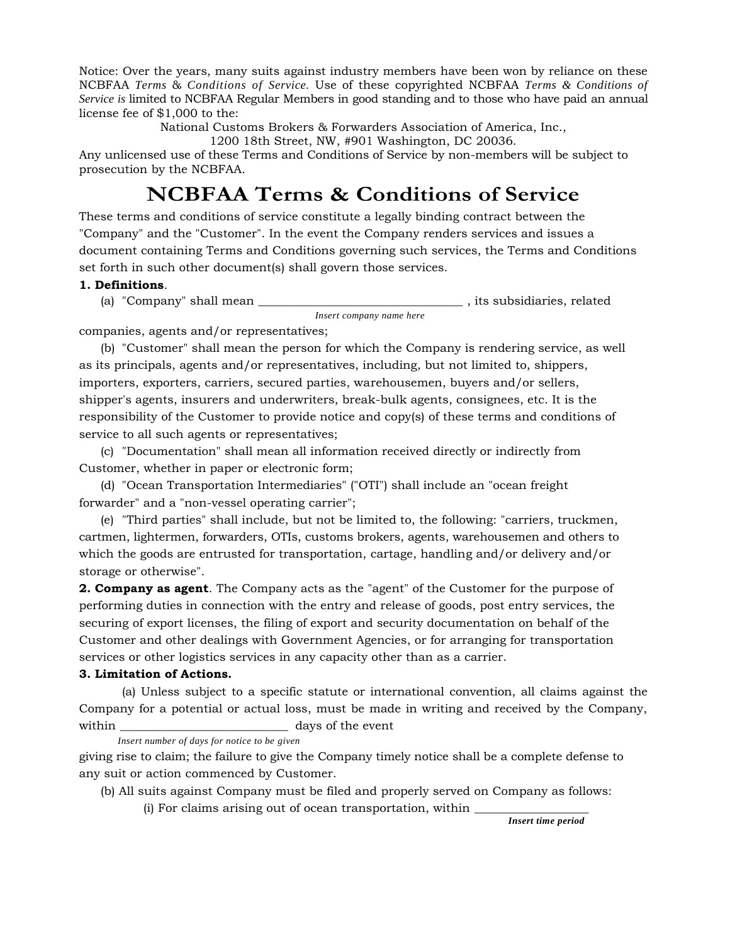Notice: Over the years, many suits against industry members have been won by reliance on these NCBFAA *Terms* & *Conditions of Service.* Use of these copyrighted NCBFAA *Terms & Conditions of Service is* limited to NCBFAA Regular Members in good standing and to those who have paid an annual license fee of \$1,000 to the:

National Customs Brokers & Forwarders Association of America, Inc.,

1200 18th Street, NW, #901 Washington, DC 20036.

Any unlicensed use of these Terms and Conditions of Service by non-members will be subject to prosecution by the NCBFAA.

# **NCBFAA Terms & Conditions of Service**

These terms and conditions of service constitute a legally binding contract between the "Company" and the "Customer". In the event the Company renders services and issues a document containing Terms and Conditions governing such services, the Terms and Conditions set forth in such other document(s) shall govern those services.

#### **1. Definitions**.

(a) "Company" shall mean \_\_\_\_\_\_\_\_\_\_\_\_\_\_\_\_\_\_\_\_\_\_\_\_\_\_\_\_\_\_\_\_\_\_ , its subsidiaries, related *Insert company name here*

companies, agents and/or representatives;

(b) "Customer" shall mean the person for which the Company is rendering service, as well as its principals, agents and/or representatives, including, but not limited to, shippers, importers, exporters, carriers, secured parties, warehousemen, buyers and/or sellers, shipper's agents, insurers and underwriters, break-bulk agents, consignees, etc. It is the responsibility of the Customer to provide notice and copy(s) of these terms and conditions of service to all such agents or representatives;

(c) "Documentation" shall mean all information received directly or indirectly from Customer, whether in paper or electronic form;

(d) "Ocean Transportation Intermediaries" ("OTI") shall include an "ocean freight forwarder" and a "non-vessel operating carrier";

(e) "Third parties" shall include, but not be limited to, the following: "carriers, truckmen, cartmen, lightermen, forwarders, OTIs, customs brokers, agents, warehousemen and others to which the goods are entrusted for transportation, cartage, handling and/or delivery and/or storage or otherwise".

**2. Company as agent**. The Company acts as the "agent" of the Customer for the purpose of performing duties in connection with the entry and release of goods, post entry services, the securing of export licenses, the filing of export and security documentation on behalf of the Customer and other dealings with Government Agencies, or for arranging for transportation services or other logistics services in any capacity other than as a carrier.

#### **3. Limitation of Actions.**

(a) Unless subject to a specific statute or international convention, all claims against the Company for a potential or actual loss, must be made in writing and received by the Company, within within  $\frac{1}{2}$  days of the event

#### *Insert number of days for notice to be given*

giving rise to claim; the failure to give the Company timely notice shall be a complete defense to any suit or action commenced by Customer.

(b) All suits against Company must be filed and properly served on Company as follows:

 $(i)$  For claims arising out of ocean transportation, within

*Insert time period*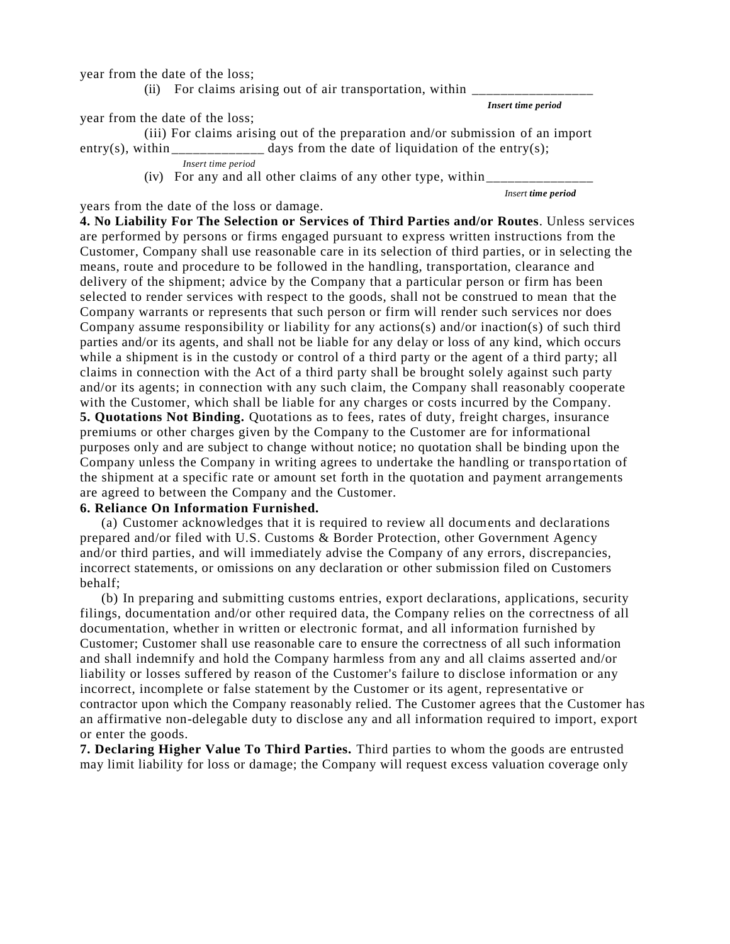year from the date of the loss;

(ii) For claims arising out of air transportation, within  $\overline{\phantom{a}}$ 

*Insert time period*

year from the date of the loss;

(iii) For claims arising out of the preparation and/or submission of an import entry(s), within \_\_\_\_\_\_\_\_\_\_\_\_\_ days from the date of liquidation of the entry(s);

*Insert time period*

(iv) For any and all other claims of any other type, within  $\overline{\phantom{a}}$ 

*Insert time period*

years from the date of the loss or damage.

**4. No Liability For The Selection or Services of Third Parties and/or Routes**. Unless services are performed by persons or firms engaged pursuant to express written instructions from the Customer, Company shall use reasonable care in its selection of third parties, or in selecting the means, route and procedure to be followed in the handling, transportation, clearance and delivery of the shipment; advice by the Company that a particular person or firm has been selected to render services with respect to the goods, shall not be construed to mean that the Company warrants or represents that such person or firm will render such services nor does Company assume responsibility or liability for any actions(s) and/or inaction(s) of such third parties and/or its agents, and shall not be liable for any delay or loss of any kind, which occurs while a shipment is in the custody or control of a third party or the agent of a third party; all claims in connection with the Act of a third party shall be brought solely against such party and/or its agents; in connection with any such claim, the Company shall reasonably cooperate with the Customer, which shall be liable for any charges or costs incurred by the Company. **5. Quotations Not Binding.** Quotations as to fees, rates of duty, freight charges, insurance premiums or other charges given by the Company to the Customer are for informational purposes only and are subject to change without notice; no quotation shall be binding upon the Company unless the Company in writing agrees to undertake the handling or transpo rtation of the shipment at a specific rate or amount set forth in the quotation and payment arrangements are agreed to between the Company and the Customer.

#### **6. Reliance On Information Furnished.**

(a) Customer acknowledges that it is required to review all documents and declarations prepared and/or filed with U.S. Customs & Border Protection, other Government Agency and/or third parties, and will immediately advise the Company of any errors, discrepancies, incorrect statements, or omissions on any declaration or other submission filed on Customers behalf;

(b) In preparing and submitting customs entries, export declarations, applications, security filings, documentation and/or other required data, the Company relies on the correctness of all documentation, whether in written or electronic format, and all information furnished by Customer; Customer shall use reasonable care to ensure the correctness of all such information and shall indemnify and hold the Company harmless from any and all claims asserted and/or liability or losses suffered by reason of the Customer's failure to disclose information or any incorrect, incomplete or false statement by the Customer or its agent, representative or contractor upon which the Company reasonably relied. The Customer agrees that the Customer has an affirmative non-delegable duty to disclose any and all information required to import, export or enter the goods.

**7. Declaring Higher Value To Third Parties.** Third parties to whom the goods are entrusted may limit liability for loss or damage; the Company will request excess valuation coverage only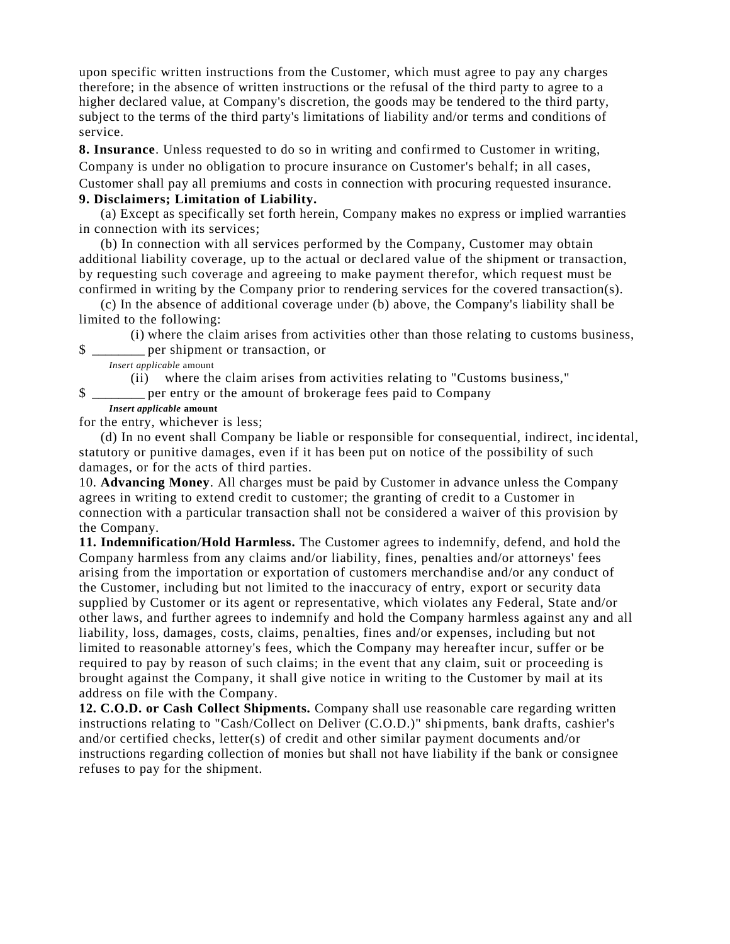upon specific written instructions from the Customer, which must agree to pay any charges therefore; in the absence of written instructions or the refusal of the third party to agree to a higher declared value, at Company's discretion, the goods may be tendered to the third party, subject to the terms of the third party's limitations of liability and/or terms and conditions of service.

**8. Insurance**. Unless requested to do so in writing and confirmed to Customer in writing, Company is under no obligation to procure insurance on Customer's behalf; in all cases, Customer shall pay all premiums and costs in connection with procuring requested insurance.

## **9. Disclaimers; Limitation of Liability.**

(a) Except as specifically set forth herein, Company makes no express or implied warranties in connection with its services;

(b) In connection with all services performed by the Company, Customer may obtain additional liability coverage, up to the actual or decl ared value of the shipment or transaction, by requesting such coverage and agreeing to make payment therefor, which request must be confirmed in writing by the Company prior to rendering services for the covered transaction(s).

(c) In the absence of additional coverage under (b) above, the Company's liability shall be limited to the following:

(i) where the claim arises from activities other than those relating to customs business, \$ \_\_\_\_\_\_\_\_ per shipment or transaction, or

*Insert applicable* amount

(ii) where the claim arises from activities relating to "Customs business,"

\$ \_\_\_\_\_\_\_\_ per entry or the amount of brokerage fees paid to Company

## *Insert applicable* **amount**

for the entry, whichever is less;

(d) In no event shall Company be liable or responsible for consequential, indirect, inc idental, statutory or punitive damages, even if it has been put on notice of the possibility of such damages, or for the acts of third parties.

10. **Advancing Money**. All charges must be paid by Customer in advance unless the Company agrees in writing to extend credit to customer; the granting of credit to a Customer in connection with a particular transaction shall not be considered a waiver of this provision by the Company.

**11. Indemnification/Hold Harmless.** The Customer agrees to indemnify, defend, and hold the Company harmless from any claims and/or liability, fines, penalties and/or attorneys' fees arising from the importation or exportation of customers merchandise and/or any conduct of the Customer, including but not limited to the inaccuracy of entry, export or security data supplied by Customer or its agent or representative, which violates any Federal, State and/or other laws, and further agrees to indemnify and hold the Company harmless against any and all liability, loss, damages, costs, claims, penalties, fines and/or expenses, including but not limited to reasonable attorney's fees, which the Company may hereafter incur, suffer or be required to pay by reason of such claims; in the event that any claim, suit or proceeding is brought against the Company, it shall give notice in writing to the Customer by mail at its address on file with the Company.

**12. C.O.D. or Cash Collect Shipments.** Company shall use reasonable care regarding written instructions relating to "Cash/Collect on Deliver (C.O.D.)" shi pments, bank drafts, cashier's and/or certified checks, letter(s) of credit and other similar payment documents and/or instructions regarding collection of monies but shall not have liability if the bank or consignee refuses to pay for the shipment.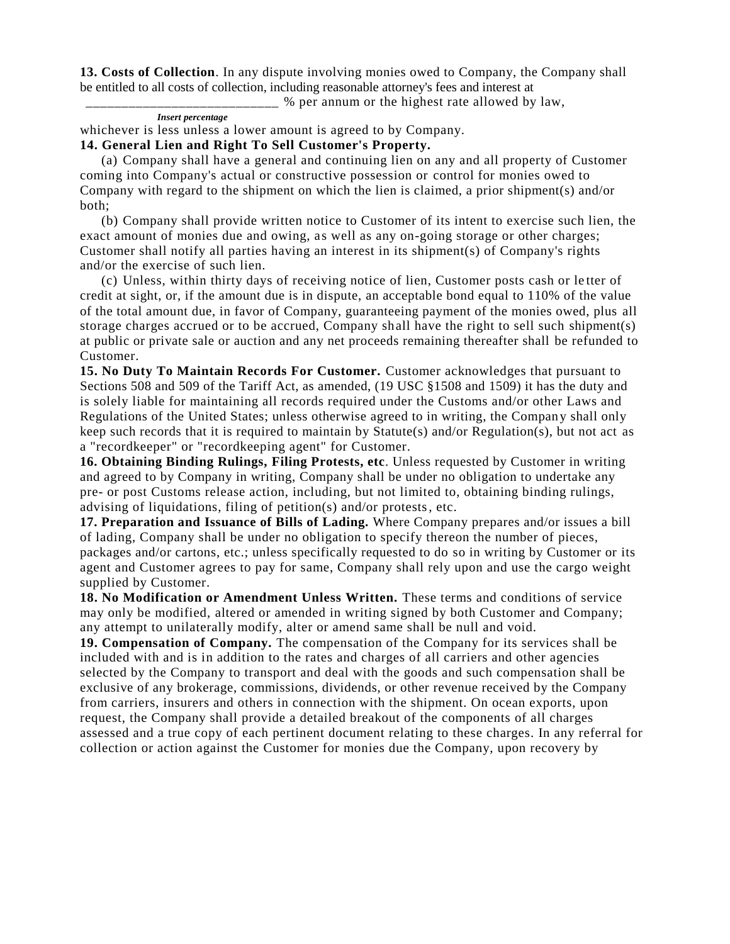**13. Costs of Collection**. In any dispute involving monies owed to Company, the Company shall be entitled to all costs of collection, including reasonable attorney's fees and interest at

\_\_\_\_\_\_\_\_\_\_\_\_\_\_\_\_\_\_\_\_\_\_\_\_\_\_\_ % per annum or the highest rate allowed by law,

### *Insert percentage*

whichever is less unless a lower amount is agreed to by Company.

### **14. General Lien and Right To Sell Customer's Property.**

(a) Company shall have a general and continuing lien on any and all property of Customer coming into Company's actual or constructive possession or control for monies owed to Company with regard to the shipment on which the lien is claimed, a prior shipment(s) and/or both;

(b) Company shall provide written notice to Customer of its intent to exercise such lien, the exact amount of monies due and owing, as well as any on-going storage or other charges; Customer shall notify all parties having an interest in its shipment(s) of Company's rights and/or the exercise of such lien.

(c) Unless, within thirty days of receiving notice of lien, Customer posts cash or le tter of credit at sight, or, if the amount due is in dispute, an acceptable bond equal to 110% of the value of the total amount due, in favor of Company, guaranteeing payment of the monies owed, plus all storage charges accrued or to be accrued, Company shall have the right to sell such shipment(s) at public or private sale or auction and any net proceeds remaining thereafter shall be refunded to Customer.

**15. No Duty To Maintain Records For Customer.** Customer acknowledges that pursuant to Sections 508 and 509 of the Tariff Act, as amended, (19 USC §1508 and 1509) it has the duty and is solely liable for maintaining all records required under the Customs and/or other Laws and Regulations of the United States; unless otherwise agreed to in writing, the Compan y shall only keep such records that it is required to maintain by Statute(s) and/or Regulation(s), but not act as a "recordkeeper" or "recordkeeping agent" for Customer.

**16. Obtaining Binding Rulings, Filing Protests, etc**. Unless requested by Customer in writing and agreed to by Company in writing, Company shall be under no obligation to undertake any pre- or post Customs release action, including, but not limited to, obtaining binding rulings, advising of liquidations, filing of petition(s) and/or protests, etc.

**17. Preparation and Issuance of Bills of Lading.** Where Company prepares and/or issues a bill of lading, Company shall be under no obligation to specify thereon the number of pieces, packages and/or cartons, etc.; unless specifically requested to do so in writing by Customer or its agent and Customer agrees to pay for same, Company shall rely upon and use the cargo weight supplied by Customer.

**18. No Modification or Amendment Unless Written.** These terms and conditions of service may only be modified, altered or amended in writing signed by both Customer and Company; any attempt to unilaterally modify, alter or amend same shall be null and void.

**19. Compensation of Company.** The compensation of the Company for its services shall be included with and is in addition to the rates and charges of all carriers and other agencies selected by the Company to transport and deal with the goods and such compensation shall be exclusive of any brokerage, commissions, dividends, or other revenue received by the Company from carriers, insurers and others in connection with the shipment. On ocean exports, upon request, the Company shall provide a detailed breakout of the components of all charges assessed and a true copy of each pertinent document relating to these charges. In any referral for collection or action against the Customer for monies due the Company, upon recovery by